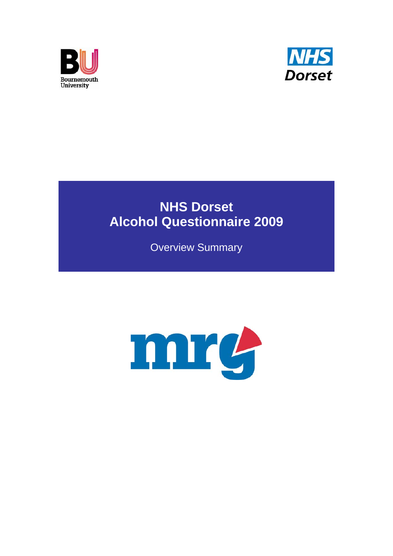



# **NHS Dorset Alcohol Questionnaire 2009**

Overview Summary

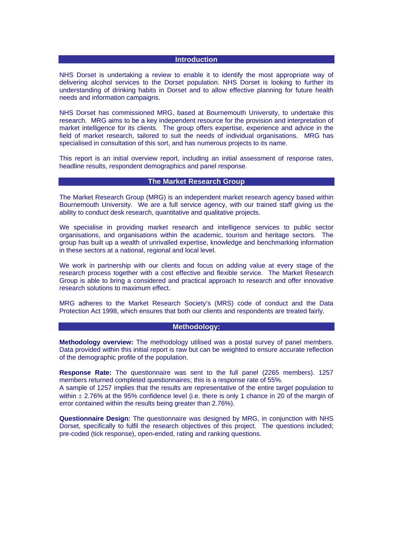# **Introduction**

NHS Dorset is undertaking a review to enable it to identify the most appropriate way of delivering alcohol services to the Dorset population. NHS Dorset is looking to further its understanding of drinking habits in Dorset and to allow effective planning for future health needs and information campaigns.

NHS Dorset has commissioned MRG, based at Bournemouth University, to undertake this research. MRG aims to be a key independent resource for the provision and interpretation of market intelligence for its clients. The group offers expertise, experience and advice in the field of market research, tailored to suit the needs of individual organisations. MRG has specialised in consultation of this sort, and has numerous projects to its name.

This report is an initial overview report, including an initial assessment of response rates, headline results, respondent demographics and panel response.

# **The Market Research Group**

The Market Research Group (MRG) is an independent market research agency based within Bournemouth University. We are a full service agency, with our trained staff giving us the ability to conduct desk research, quantitative and qualitative projects.

We specialise in providing market research and intelligence services to public sector organisations, and organisations within the academic, tourism and heritage sectors. The group has built up a wealth of unrivalled expertise, knowledge and benchmarking information in these sectors at a national, regional and local level.

We work in partnership with our clients and focus on adding value at every stage of the research process together with a cost effective and flexible service. The Market Research Group is able to bring a considered and practical approach to research and offer innovative research solutions to maximum effect.

MRG adheres to the Market Research Society's (MRS) code of conduct and the Data Protection Act 1998, which ensures that both our clients and respondents are treated fairly.

#### **Methodology:**

**Methodology overview:** The methodology utilised was a postal survey of panel members. Data provided within this initial report is raw but can be weighted to ensure accurate reflection of the demographic profile of the population.

**Response Rate:** The questionnaire was sent to the full panel (2265 members). 1257 members returned completed questionnaires; this is a response rate of 55%.

A sample of 1257 implies that the results are representative of the entire target population to within  $\pm$  2.76% at the 95% confidence level (i.e. there is only 1 chance in 20 of the margin of error contained within the results being greater than 2.76%).

**Questionnaire Design:** The questionnaire was designed by MRG, in conjunction with NHS Dorset, specifically to fulfil the research objectives of this project. The questions included; pre-coded (tick response), open-ended, rating and ranking questions.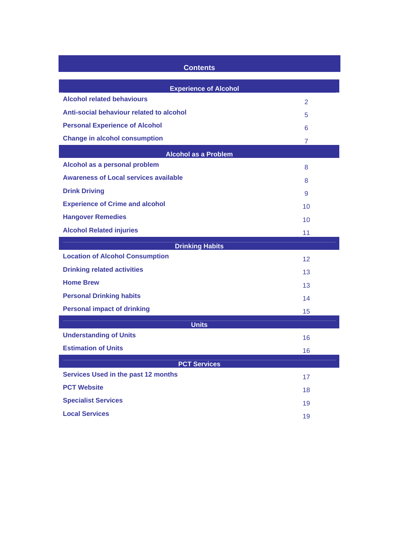| <b>Contents</b>                              |                   |  |  |  |  |  |
|----------------------------------------------|-------------------|--|--|--|--|--|
| <b>Experience of Alcohol</b>                 |                   |  |  |  |  |  |
| <b>Alcohol related behaviours</b>            | $\overline{2}$    |  |  |  |  |  |
| Anti-social behaviour related to alcohol     | 5                 |  |  |  |  |  |
| <b>Personal Experience of Alcohol</b>        | 6                 |  |  |  |  |  |
| <b>Change in alcohol consumption</b>         | $\overline{7}$    |  |  |  |  |  |
| <b>Alcohol as a Problem</b>                  |                   |  |  |  |  |  |
| Alcohol as a personal problem                | 8                 |  |  |  |  |  |
| <b>Awareness of Local services available</b> | 8                 |  |  |  |  |  |
| <b>Drink Driving</b>                         | 9                 |  |  |  |  |  |
| <b>Experience of Crime and alcohol</b>       | 10                |  |  |  |  |  |
| <b>Hangover Remedies</b>                     | 10                |  |  |  |  |  |
| <b>Alcohol Related injuries</b>              | 11                |  |  |  |  |  |
| <b>Drinking Habits</b>                       |                   |  |  |  |  |  |
| <b>Location of Alcohol Consumption</b>       | $12 \overline{ }$ |  |  |  |  |  |
| <b>Drinking related activities</b>           | 13                |  |  |  |  |  |
| <b>Home Brew</b>                             | 13                |  |  |  |  |  |
| <b>Personal Drinking habits</b>              | 14                |  |  |  |  |  |
| <b>Personal impact of drinking</b>           | 15                |  |  |  |  |  |
| <b>Units</b>                                 |                   |  |  |  |  |  |
| <b>Understanding of Units</b>                | 16                |  |  |  |  |  |
| <b>Estimation of Units</b>                   | 16                |  |  |  |  |  |
| <b>PCT Services</b>                          |                   |  |  |  |  |  |
| Services Used in the past 12 months          | 17                |  |  |  |  |  |
| <b>PCT Website</b>                           | 18                |  |  |  |  |  |
| <b>Specialist Services</b>                   | 19                |  |  |  |  |  |
| <b>Local Services</b>                        | 19                |  |  |  |  |  |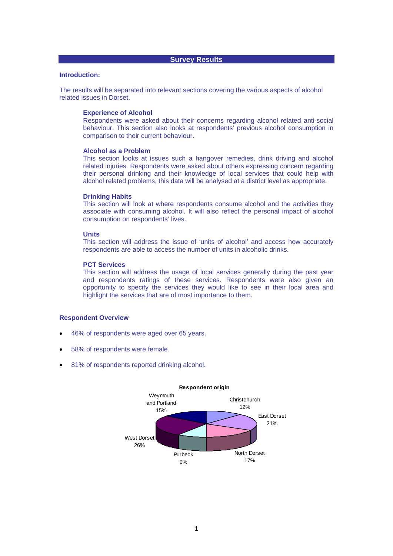# **Survey Results**

#### **Introduction:**

The results will be separated into relevant sections covering the various aspects of alcohol related issues in Dorset.

#### **Experience of Alcohol**

Respondents were asked about their concerns regarding alcohol related anti-social behaviour. This section also looks at respondents' previous alcohol consumption in comparison to their current behaviour.

#### **Alcohol as a Problem**

This section looks at issues such a hangover remedies, drink driving and alcohol related injuries. Respondents were asked about others expressing concern regarding their personal drinking and their knowledge of local services that could help with alcohol related problems, this data will be analysed at a district level as appropriate.

#### **Drinking Habits**

This section will look at where respondents consume alcohol and the activities they associate with consuming alcohol. It will also reflect the personal impact of alcohol consumption on respondents' lives.

#### **Units**

This section will address the issue of 'units of alcohol' and access how accurately respondents are able to access the number of units in alcoholic drinks.

#### **PCT Services**

This section will address the usage of local services generally during the past year and respondents ratings of these services. Respondents were also given an opportunity to specify the services they would like to see in their local area and highlight the services that are of most importance to them.

#### **Respondent Overview**

- 46% of respondents were aged over 65 years.
- 58% of respondents were female.
- 81% of respondents reported drinking alcohol.

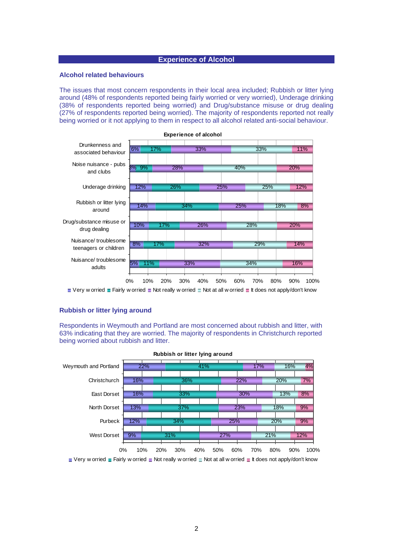# **Experience of Alcohol**

#### **Alcohol related behaviours**

The issues that most concern respondents in their local area included; Rubbish or litter lying around (48% of respondents reported being fairly worried or very worried), Underage drinking (38% of respondents reported being worried) and Drug/substance misuse or drug dealing (27% of respondents reported being worried). The majority of respondents reported not really being worried or it not applying to them in respect to all alcohol related anti-social behaviour.



 $\Box$  Very w orried  $\Box$  Fairly w orried  $\Box$  Not really w orried  $\Box$  Not at all w orried  $\Box$  It does not apply/don't know

#### **Rubbish or litter lying around**

Respondents in Weymouth and Portland are most concerned about rubbish and litter, with 63% indicating that they are worried. The majority of respondents in Christchurch reported being worried about rubbish and litter.



 $\Box$  Very w orried  $\Box$  Fairly w orried  $\Box$  Not really w orried  $\Box$  Not at all w orried  $\Box$  It does not apply/don't know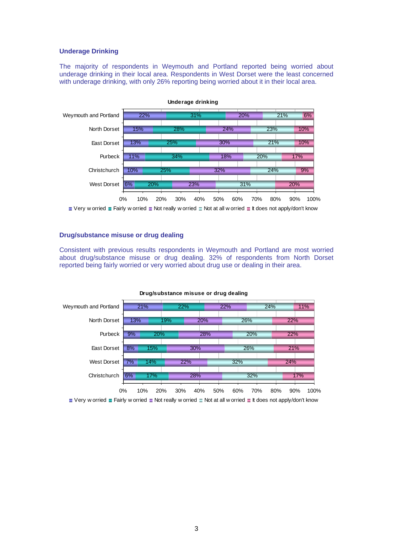#### **Underage Drinking**

The majority of respondents in Weymouth and Portland reported being worried about underage drinking in their local area. Respondents in West Dorset were the least concerned with underage drinking, with only 26% reporting being worried about it in their local area.



 $\Box$  Very w orried  $\Box$  Fairly w orried  $\Box$  Not really w orried  $\Box$  Not at all w orried  $\Box$  It does not apply/don't know

# **Drug/substance misuse or drug dealing**

Consistent with previous results respondents in Weymouth and Portland are most worried about drug/substance misuse or drug dealing. 32% of respondents from North Dorset reported being fairly worried or very worried about drug use or dealing in their area.



#### **Drug/substance misuse or drug dealing**

 $\blacksquare$  Very w orried  $\blacksquare$  Fairly w orried  $\blacksquare$  Not really w orried  $\blacksquare$  Not at all w orried  $\blacksquare$  It does not apply/don't know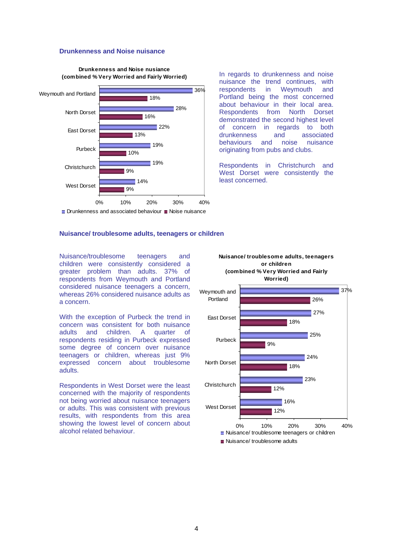# **Drunkenness and Noise nuisance**



**Drunkenness and Noise nusiance (combined % Very Worried and Fairly Worried)**

In regards to drunkenness and noise nuisance the trend continues, with respondents in Weymouth and Portland being the most concerned about behaviour in their local area.<br>Respondents from North Dorset from North demonstrated the second highest level of concern in regards to both<br>drunkenness and associated drunkenness and behaviours and noise nuisance originating from pubs and clubs.

Respondents in Christchurch and West Dorset were consistently the least concerned.

#### **Nuisance/ troublesome adults, teenagers or children**

Nuisance/troublesome teenagers and children were consistently considered a greater problem than adults. 37% of respondents from Weymouth and Portland considered nuisance teenagers a concern, whereas 26% considered nuisance adults as a concern.

With the exception of Purbeck the trend in concern was consistent for both nuisance adults and children. A quarter of respondents residing in Purbeck expressed some degree of concern over nuisance teenagers or children, whereas just 9% expressed concern about troublesome adults.

Respondents in West Dorset were the least concerned with the majority of respondents not being worried about nuisance teenagers or adults. This was consistent with previous results, with respondents from this area showing the lowest level of concern about alcohol related behaviour.

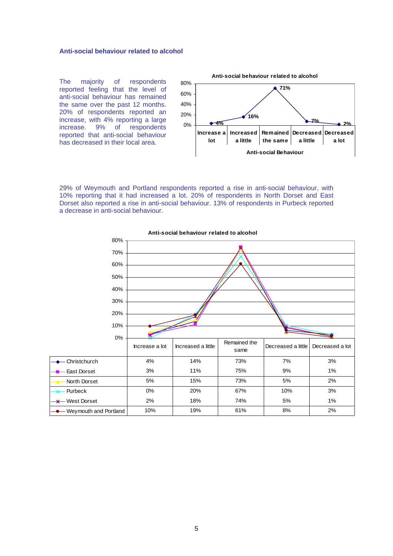# **Anti-social behaviour related to alcohol**

The majority of respondents reported feeling that the level of anti-social behaviour has remained the same over the past 12 months. 20% of respondents reported an increase, with 4% reporting a large increase. 9% of respondents reported that anti-social behaviour has decreased in their local area.



29% of Weymouth and Portland respondents reported a rise in anti-social behaviour, with 10% reporting that it had increased a lot. 20% of respondents in North Dorset and East Dorset also reported a rise in anti-social behaviour. 13% of respondents in Purbeck reported a decrease in anti-social behaviour.



**Anti-social behaviour related to alcohol**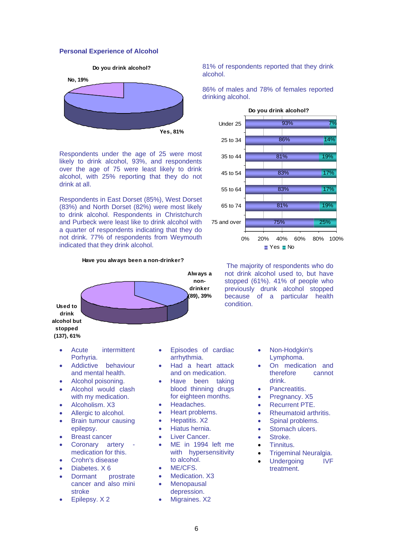# **Personal Experience of Alcohol**





Respondents under the age of 25 were most likely to drink alcohol, 93%, and respondents over the age of 75 were least likely to drink alcohol, with 25% reporting that they do not drink at all.

Respondents in East Dorset (85%), West Dorset (83%) and North Dorset (82%) were most likely to drink alcohol. Respondents in Christchurch and Purbeck were least like to drink alcohol with a quarter of respondents indicating that they do not drink. 77% of respondents from Weymouth indicated that they drink alcohol.

#### **Have you always been a non-drinker?**

![](_page_8_Figure_6.jpeg)

81% of respondents reported that they drink alcohol.

86% of males and 78% of females reported drinking alcohol.

![](_page_8_Figure_9.jpeg)

 The majority of respondents who do not drink alcohol used to, but have stopped (61%). 41% of people who previously drunk alcohol stopped because of a particular health condition.

- Acute intermittent Porhyria.
- Addictive behaviour and mental health.
- Alcohol poisoning.
- Alcohol would clash with my medication.
- Alcoholism, X3
- Allergic to alcohol.
- Brain tumour causing epilepsy.
- Breast cancer
- Coronary artery medication for this.
- Crohn's disease
- Diabetes. X 6
- Dormant prostrate cancer and also mini stroke
- Epilepsy. X 2
- Episodes of cardiac arrhythmia.
- Had a heart attack and on medication.
- Have been taking blood thinning drugs for eighteen months.
- Headaches.
- Heart problems.
- Hepatitis. X2
- Hiatus hernia.
- Liver Cancer.
- ME in 1994 left me with hypersensitivity to alcohol.
- ME/CFS.
- Medication. X3
- **Menopausal** depression.
- Migraines. X2
- Non-Hodgkin's Lymphoma.
- On medication and therefore cannot drink.
- Pancreatitis.
- Pregnancy, X5
- Recurrent PTE.
- Rheumatoid arthritis.
- Spinal problems.
- Stomach ulcers.
- Stroke.
- Tinnitus.
- Trigeminal Neuralgia.
- Undergoing IVF treatment.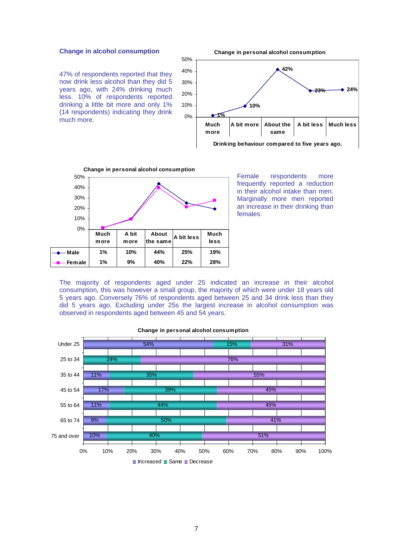#### **Change in alcohol consumption**

47% of respondents reported that they now drink less alcohol than they did 5 years ago, with 24% drinking much less. 10% of respondents reported drinking a little bit more and only 1% (14 respondents) indicating they drink much more.

![](_page_9_Figure_2.jpeg)

**Change in personal alcohol consumption**

**Drinking behaviour compared to five years ago.**

![](_page_9_Figure_4.jpeg)

Female respondents more frequently reported a reduction in their alcohol intake than men. Marginally more men reported an increase in their drinking than females.

The majority of respondents aged under 25 indicated an increase in their alcohol consumption, this was however a small group, the majority of which were under 18 years old 5 years ago. Conversely 76% of respondents aged between 25 and 34 drink less than they did 5 years ago. Excluding under 25s the largest increase in alcohol consumption was observed in respondents aged between 45 and 54 years.

![](_page_9_Figure_7.jpeg)

#### **Change in personal alcohol consumption**

 $\blacksquare$  Increased  $\blacksquare$  Same  $\blacksquare$  Decrease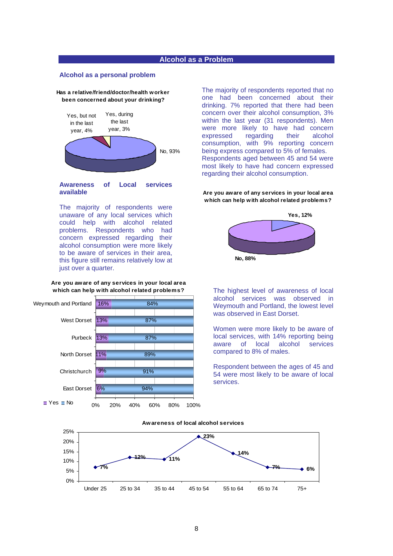#### **Alcohol as a Problem**

#### **Alcohol as a personal problem**

#### **Has a relative/friend/doctor/health worker been concerned about your drinking?**

![](_page_10_Figure_3.jpeg)

**Awareness of Local services available** 

The majority of respondents were unaware of any local services which could help with alcohol related problems. Respondents who had concern expressed regarding their alcohol consumption were more likely to be aware of services in their area, this figure still remains relatively low at just over a quarter.

#### **Are you aware of any services in your local area which can help with alcohol related problems?**

![](_page_10_Figure_7.jpeg)

The majority of respondents reported that no one had been concerned about their drinking. 7% reported that there had been concern over their alcohol consumption, 3% within the last year (31 respondents). Men were more likely to have had concern expressed regarding their alcohol consumption, with 9% reporting concern being express compared to 5% of females. Respondents aged between 45 and 54 were most likely to have had concern expressed regarding their alcohol consumption.

**Are you aware of any services in your local area which can help with alcohol related problems?**

![](_page_10_Figure_10.jpeg)

The highest level of awareness of local alcohol services was observed in Weymouth and Portland, the lowest level was observed in East Dorset.

Women were more likely to be aware of local services, with 14% reporting being aware of local alcohol services compared to 8% of males.

Respondent between the ages of 45 and 54 were most likely to be aware of local services.

#### **Awareness of local alcohol services**

![](_page_10_Figure_15.jpeg)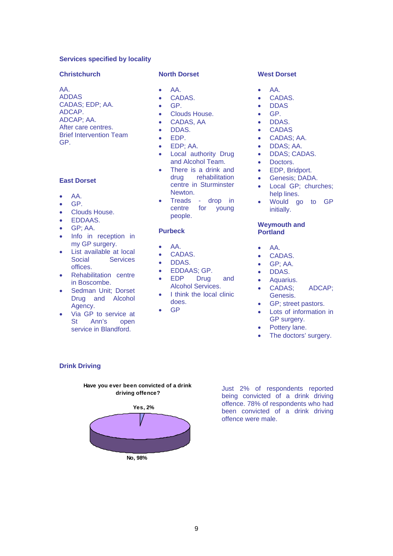# **Services specified by locality**

#### **Christchurch**

AA. ADDAS CADAS; EDP; AA. ADCAP. ADCAP; AA. After care centres. Brief Intervention Team GP.

# **East Dorset**

- AA.
- GP.
- Clouds House.
- EDDAAS.
- GP; AA.
- Info in reception in my GP surgery.
- List available at local Social Services offices.
- Rehabilitation centre in Boscombe.
- Sedman Unit; Dorset Drug and Alcohol Agency.
- Via GP to service at<br>St Ann's open Ann's open service in Blandford.

#### **North Dorset**

- AA.
- CADAS.
- GP.
- Clouds House.
- CADAS, AA
- DDAS.
- EDP.
- EDP; AA.
- Local authority Drug and Alcohol Team.
- There is a drink and drug rehabilitation centre in Sturminster Newton.
- Treads drop in centre for young people.

#### **Purbeck**

- AA.
- CADAS.
- DDAS.
- EDDAAS; GP.<br>EDP Drug
- EDP Drug and Alcohol Services.
- I think the local clinic does.
- GP

# **West Dorset**

- AA.
- CADAS.
- DDAS
- GP.
- DDAS.
- CADAS
- CADAS; AA.
- DDAS; AA.
- DDAS; CADAS.
- Doctors.
- EDP, Bridport.
- Genesis; DADA.
- Local GP; churches; help lines.
- Would go to GP initially.

#### **Weymouth and Portland**

- AA.
- CADAS.
- GP; AA.
- DDAS.
- Aquarius.
- CADAS; ADCAP; Genesis.
- GP; street pastors.
- Lots of information in GP surgery.
- Pottery lane.
- The doctors' surgery.

# **Drink Driving**

![](_page_11_Figure_61.jpeg)

**Have you ever been convicted of a drink driving offence?**

Just 2% of respondents reported being convicted of a drink driving offence. 78% of respondents who had been convicted of a drink driving offence were male.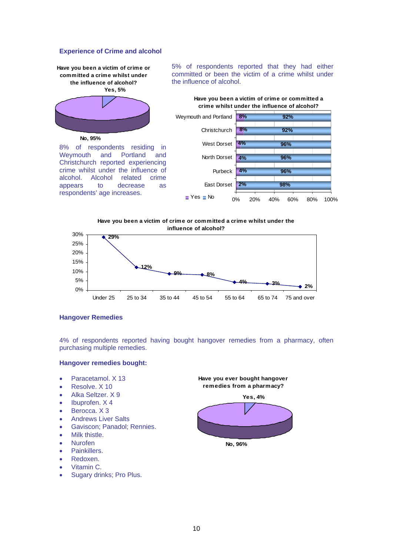# **Experience of Crime and alcohol**

**Have you been a victim of crime or committed a crime whilst under the influence of alcohol? Yes, 5%**

![](_page_12_Picture_2.jpeg)

**No, 95%**

8% of respondents residing in Weymouth and Portland and Christchurch reported experiencing crime whilst under the influence of alcohol. Alcohol related crime appears to decrease as respondents' age increases.

5% of respondents reported that they had either committed or been the victim of a crime whilst under the influence of alcohol.

![](_page_12_Figure_6.jpeg)

**Have you been a victim of crime or committed a crime whilst under the influence of alcohol?**

![](_page_12_Figure_8.jpeg)

# **Hangover Remedies**

4% of respondents reported having bought hangover remedies from a pharmacy, often purchasing multiple remedies.

#### **Hangover remedies bought:**

- Paracetamol. X 13
- Resolve. X 10
- Alka Seltzer. X 9
- Ibuprofen. X 4
- Berocca. X 3
- Andrews Liver Salts
- Gaviscon; Panadol; Rennies.
- Milk thistle.
- Nurofen
- Painkillers.
- Redoxen.
- Vitamin C.
- Sugary drinks; Pro Plus.

**Have you ever bought hangover remedies from a pharmacy?**

![](_page_12_Figure_26.jpeg)

![](_page_12_Figure_27.jpeg)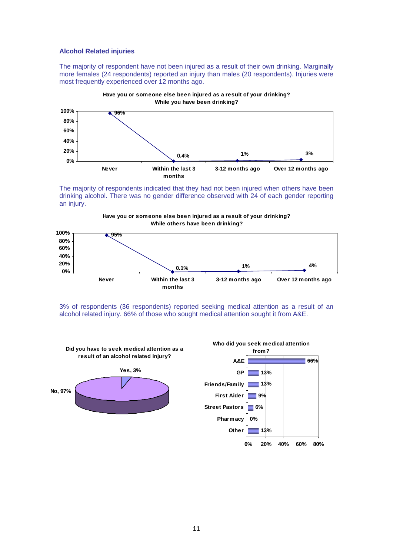#### **Alcohol Related injuries**

The majority of respondent have not been injured as a result of their own drinking. Marginally more females (24 respondents) reported an injury than males (20 respondents). Injuries were most frequently experienced over 12 months ago.

![](_page_13_Figure_2.jpeg)

The majority of respondents indicated that they had not been injured when others have been drinking alcohol. There was no gender difference observed with 24 of each gender reporting an injury.

![](_page_13_Figure_4.jpeg)

![](_page_13_Figure_5.jpeg)

3% of respondents (36 respondents) reported seeking medical attention as a result of an alcohol related injury. 66% of those who sought medical attention sought it from A&E.

![](_page_13_Figure_7.jpeg)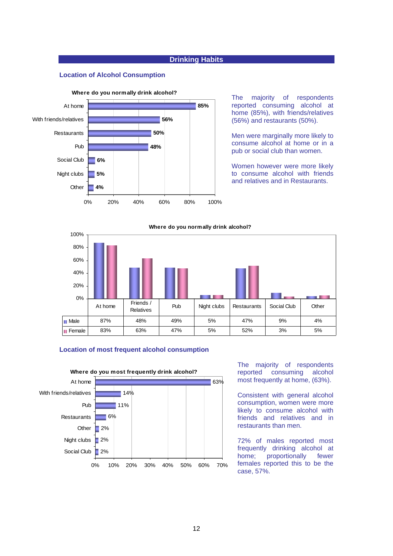# **Drinking Habits**

# **Location of Alcohol Consumption**

![](_page_14_Figure_2.jpeg)

The majority of respondents reported consuming alcohol at home (85%), with friends/relatives (56%) and restaurants (50%).

Men were marginally more likely to consume alcohol at home or in a pub or social club than women.

Women however were more likely to consume alcohol with friends and relatives and in Restaurants.

![](_page_14_Figure_6.jpeg)

#### **Location of most frequent alcohol consumption**

![](_page_14_Figure_8.jpeg)

The majority of respondents reported consuming alcohol most frequently at home, (63%).

Consistent with general alcohol consumption, women were more likely to consume alcohol with friends and relatives and in restaurants than men.

72% of males reported most frequently drinking alcohol at home; proportionally fewer females reported this to be the case, 57%.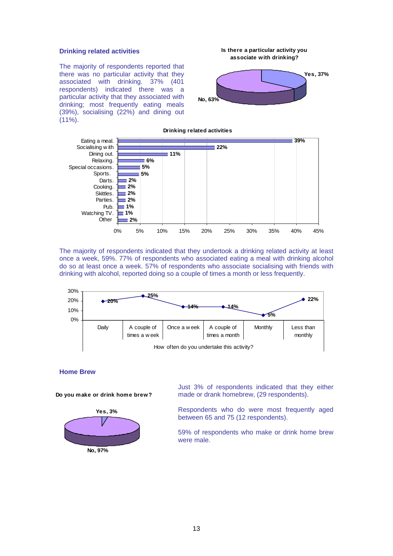#### **Drinking related activities**

The majority of respondents reported that there was no particular activity that they associated with drinking. 37% (401 respondents) indicated there was a particular activity that they associated with drinking; most frequently eating meals (39%), socialising (22%) and dining out  $(11\%)$ .

**associate with drinking? Yes, 37% No, 63%**

**Is there a particular activity you** 

![](_page_15_Figure_3.jpeg)

The majority of respondents indicated that they undertook a drinking related activity at least once a week, 59%. 77% of respondents who associated eating a meal with drinking alcohol do so at least once a week. 57% of respondents who associate socialising with friends with drinking with alcohol, reported doing so a couple of times a month or less frequently.

![](_page_15_Figure_5.jpeg)

#### **Home Brew**

**Do you make or drink home brew?**

![](_page_15_Figure_8.jpeg)

Just 3% of respondents indicated that they either made or drank homebrew, (29 respondents).

Respondents who do were most frequently aged between 65 and 75 (12 respondents).

59% of respondents who make or drink home brew were male.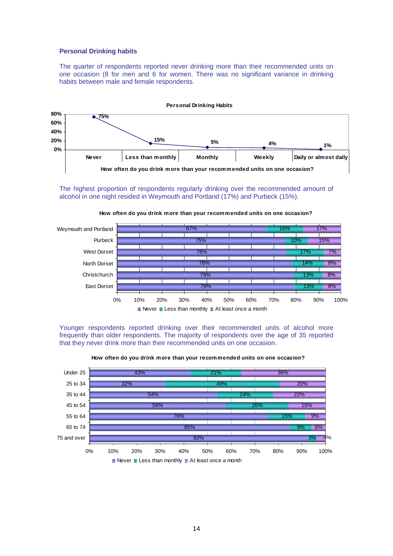#### **Personal Drinking habits**

The quarter of respondents reported never drinking more than their recommended units on one occasion (8 for men and 6 for women. There was no significant variance in drinking habits between male and female respondents.

![](_page_16_Figure_2.jpeg)

The highest proportion of respondents regularly drinking over the recommended amount of alcohol in one night resided in Weymouth and Portland (17%) and Purbeck (15%).

![](_page_16_Figure_4.jpeg)

**How often do you drink more than your recommended units on one occasion?**

Younger respondents reported drinking over their recommended units of alcohol more frequently than older respondents. The majority of respondents over the age of 35 reported that they never drink more than their recommended units on one occasion.

![](_page_16_Figure_7.jpeg)

**How often do you drink more than your recommended units on one occasion?**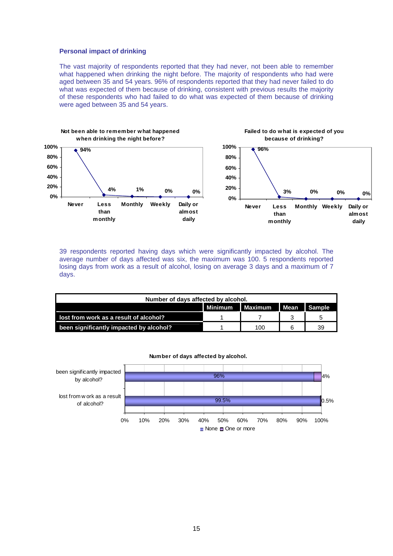#### **Personal impact of drinking**

The vast majority of respondents reported that they had never, not been able to remember what happened when drinking the night before. The majority of respondents who had were aged between 35 and 54 years. 96% of respondents reported that they had never failed to do what was expected of them because of drinking, consistent with previous results the majority of these respondents who had failed to do what was expected of them because of drinking were aged between 35 and 54 years.

![](_page_17_Figure_2.jpeg)

39 respondents reported having days which were significantly impacted by alcohol. The average number of days affected was six, the maximum was 100. 5 respondents reported losing days from work as a result of alcohol, losing on average 3 days and a maximum of 7 days.

| Number of days affected by alcohol.     |                                |     |  |    |  |  |  |
|-----------------------------------------|--------------------------------|-----|--|----|--|--|--|
|                                         | Mean Sample<br>Minimum Maximum |     |  |    |  |  |  |
| lost from work as a result of alcohol?  |                                |     |  |    |  |  |  |
| been significantly impacted by alcohol? |                                | 100 |  | 39 |  |  |  |

![](_page_17_Figure_5.jpeg)

**Number of days affected by alcohol.**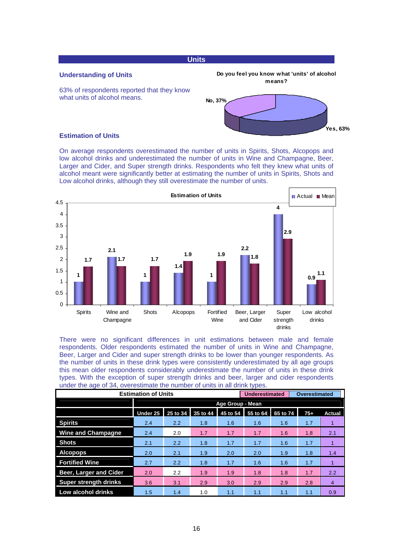# **Units**

# **Understanding of Units**

![](_page_18_Figure_2.jpeg)

![](_page_18_Figure_3.jpeg)

**Do you feel you know what 'units' of alcohol means?**

#### **Estimation of Units**

On average respondents overestimated the number of units in Spirits, Shots, Alcopops and low alcohol drinks and underestimated the number of units in Wine and Champagne, Beer, Larger and Cider, and Super strength drinks. Respondents who felt they knew what units of alcohol meant were significantly better at estimating the number of units in Spirits, Shots and Low alcohol drinks, although they still overestimate the number of units.

![](_page_18_Figure_6.jpeg)

There were no significant differences in unit estimations between male and female respondents. Older respondents estimated the number of units in Wine and Champagne, Beer, Larger and Cider and super strength drinks to be lower than younger respondents. As the number of units in these drink types were consistently underestimated by all age groups this mean older respondents considerably underestimate the number of units in these drink types. With the exception of super strength drinks and beer, larger and cider respondents under the age of 34, overestimate the number of units in all drink types.

| <b>Estimation of Units</b>    |                         |          |          | Underestimated |          | Overestimated |       |                |
|-------------------------------|-------------------------|----------|----------|----------------|----------|---------------|-------|----------------|
|                               | <b>Age Group - Mean</b> |          |          |                |          |               |       |                |
|                               | Under 25                | 25 to 34 | 35 to 44 | 45 to 54       | 55 to 64 | 65 to 74      | $75+$ | <b>Actual</b>  |
| <b>Spirits</b>                | 2.4                     | 2.2      | 1.8      | 1.6            | 1.6      | 1.6           | 1.7   |                |
| <b>Wine and Champagne</b>     | 2.4                     | 2.0      | 1.7      | 1.7            | 1.7      | 1.6           | 1.8   | 2.1            |
| <b>Shots</b>                  | 2.1                     | 2.2      | 1.8      | 1.7            | 1.7      | 1.6           | 1.7   |                |
| <b>Alcopops</b>               | 2.0                     | 2.1      | 1.9      | 2.0            | 2.0      | 1.9           | 1.8   | 1.4            |
| <b>Fortified Wine</b>         | 2.7                     | 2.2      | 1.8      | 1.7            | 1.6      | 1.6           | 1.7   |                |
| <b>Beer, Larger and Cider</b> | 2.0                     | 2.2      | 1.9      | 1.9            | 1.8      | 1.8           | 1.7   | 2.2            |
| <b>Super strength drinks</b>  | 3.6                     | 3.1      | 2.9      | 3.0            | 2.9      | 2.9           | 2.8   | $\overline{4}$ |
| Low alcohol drinks            | 1.5                     | 1.4      | 1.0      | 1.1            | 1.1      | 1.1           | 1.1   | 0.9            |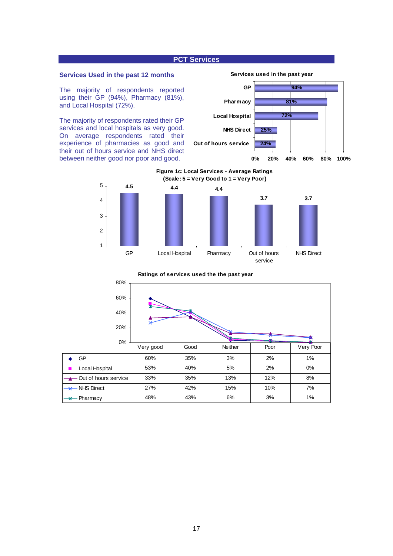# **PCT Services**

#### **Services Used in the past 12 months**

The majority of respondents reported using their GP (94%), Pharmacy (81%), and Local Hospital (72%).

The majority of respondents rated their GP services and local hospitals as very good. On average respondents rated their experience of pharmacies as good and their out of hours service and NHS direct between neither good nor poor and good.

![](_page_19_Figure_4.jpeg)

**Figure 1c: Local Services - Average Ratings (Scale: 5 = Very Good to 1 = Very Poor)**

![](_page_19_Figure_6.jpeg)

# 0% 20% 40% 60% 80% GP | 60% | 35% | 3% | 2% | 1% Local Hospital  $\begin{array}{|c|c|c|c|c|c|} \hline \end{array}$  53%  $\begin{array}{|c|c|c|c|c|} \hline \end{array}$  40%  $\begin{array}{|c|c|c|c|c|} \hline \end{array}$  5%  $\begin{array}{|c|c|c|c|} \hline \end{array}$  2%  $\begin{array}{|c|c|c|c|c|} \hline \end{array}$  0% - Out of hours service  $\begin{array}{|c|c|c|c|}\n\hline\n-33\% & 35\% & 13\% & 12\% & 8\% \hline\n\end{array}$ NHS Direct 27% 42% 15% 10% 7% Pharmacy 148% 43% 6% 3% 1% Very good | Good | Neither | Poor | Very Poor

**Ratings of services used the the past year**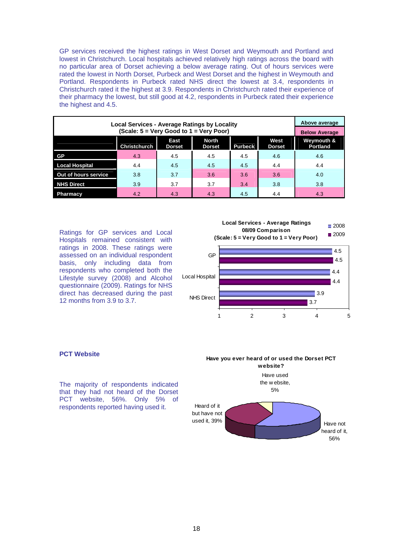GP services received the highest ratings in West Dorset and Weymouth and Portland and lowest in Christchurch. Local hospitals achieved relatively high ratings across the board with no particular area of Dorset achieving a below average rating. Out of hours services were rated the lowest in North Dorset, Purbeck and West Dorset and the highest in Weymouth and Portland. Respondents in Purbeck rated NHS direct the lowest at 3.4, respondents in Christchurch rated it the highest at 3.9. Respondents in Christchurch rated their experience of their pharmacy the lowest, but still good at 4.2, respondents in Purbeck rated their experience the highest and 4.5.

| Local Services - Average Ratings by Locality |                      |                       |                               |                |                       | Above average                 |  |
|----------------------------------------------|----------------------|-----------------------|-------------------------------|----------------|-----------------------|-------------------------------|--|
|                                              | <b>Below Average</b> |                       |                               |                |                       |                               |  |
|                                              | <b>Christchurch</b>  | East<br><b>Dorset</b> | <b>North</b><br><b>Dorset</b> | <b>Purbeck</b> | West<br><b>Dorset</b> | Weymouth &<br><b>Portland</b> |  |
| GP                                           | 4.3                  | 4.5                   | 4.5                           | 4.5            | 4.6                   | 4.6                           |  |
| <b>Local Hospital</b>                        | 4.4                  | 4.5                   | 4.5                           | 4.5            | 4.4                   | 4.4                           |  |
| Out of hours service                         | 3.8                  | 3.7                   | 3.6                           | 3.6            | 3.6                   | 4.0                           |  |
| <b>NHS Direct</b>                            | 3.9                  | 3.7                   | 3.7                           | 3.4            | 3.8                   | 3.8                           |  |
| <b>Pharmacy</b>                              | 4.2                  | 4.3                   | 4.3                           | 4.5            | 4.4                   | 4.3                           |  |

Ratings for GP services and Local Hospitals remained consistent with ratings in 2008. These ratings were assessed on an individual respondent basis, only including data from respondents who completed both the Lifestyle survey (2008) and Alcohol questionnaire (2009). Ratings for NHS direct has decreased during the past 12 months from 3.9 to 3.7.

![](_page_20_Figure_3.jpeg)

#### **PCT Website**

The majority of respondents indicated that they had not heard of the Dorset PCT website, 56%. Only 5% of respondents reported having used it.

**Have you ever heard of or used the Dorset PCT website?** Have used

![](_page_20_Figure_7.jpeg)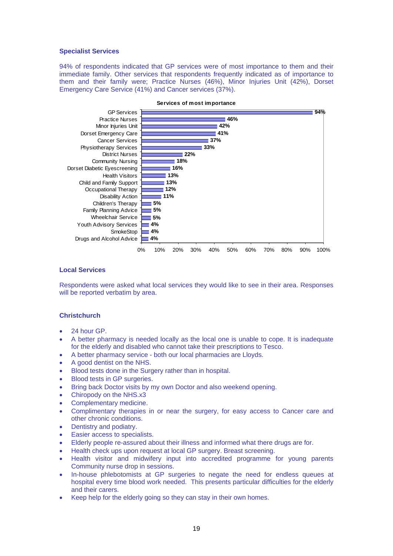#### **Specialist Services**

94% of respondents indicated that GP services were of most importance to them and their immediate family. Other services that respondents frequently indicated as of importance to them and their family were; Practice Nurses (46%), Minor Injuries Unit (42%), Dorset Emergency Care Service (41%) and Cancer services (37%).

![](_page_21_Figure_2.jpeg)

#### **Services of most importance**

#### **Local Services**

Respondents were asked what local services they would like to see in their area. Responses will be reported verbatim by area.

# **Christchurch**

- 24 hour GP
- A better pharmacy is needed locally as the local one is unable to cope. It is inadequate for the elderly and disabled who cannot take their prescriptions to Tesco.
- A better pharmacy service both our local pharmacies are Lloyds.
- A good dentist on the NHS.
- Blood tests done in the Surgery rather than in hospital.
- Blood tests in GP surgeries.
- Bring back Doctor visits by my own Doctor and also weekend opening.
- Chiropody on the NHS.x3
- Complementary medicine.
- Complimentary therapies in or near the surgery, for easy access to Cancer care and other chronic conditions.
- Dentistry and podiatry.
- Easier access to specialists.
- Elderly people re-assured about their illness and informed what there drugs are for.
- Health check ups upon request at local GP surgery. Breast screening.
- Health visitor and midwifery input into accredited programme for young parents Community nurse drop in sessions.
- In-house phlebotomists at GP surgeries to negate the need for endless queues at hospital every time blood work needed. This presents particular difficulties for the elderly and their carers.
- Keep help for the elderly going so they can stay in their own homes.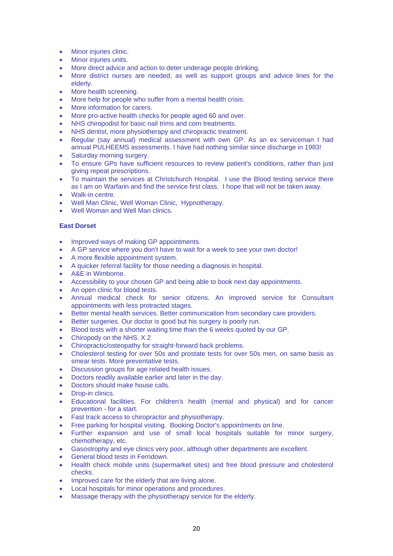- Minor injuries clinic.
- Minor injuries units.
- More direct advice and action to deter underage people drinking.
- More district nurses are needed, as well as support groups and advice lines for the elderly.
- More health screening.
- More help for people who suffer from a mental health crisis.
- More information for carers.
- More pro-active health checks for people aged 60 and over.
- NHS chiropodist for basic nail trims and corn treatments.
- NHS dentist, more physiotherapy and chiropractic treatment.
- Regular (say annual) medical assessment with own GP. As an ex serviceman I had annual PULHEEMS assessments. I have had nothing similar since discharge in 1983!
- Saturday morning surgery.
- To ensure GPs have sufficient resources to review patient's conditions, rather than just giving repeat prescriptions.
- To maintain the services at Christchurch Hospital. I use the Blood testing service there as I am on Warfarin and find the service first class. I hope that will not be taken away.
- Walk-in centre.
- Well Man Clinic, Well Woman Clinic, Hypnotherapy.
- Well Woman and Well Man clinics.

# **East Dorset**

- Improved ways of making GP appointments.
- A GP service where you don't have to wait for a week to see your own doctor!
- A more flexible appointment system.
- A quicker referral facility for those needing a diagnosis in hospital.
- A&E in Wimborne.
- Accessibility to your chosen GP and being able to book next day appointments.
- An open clinic for blood tests.
- Annual medical check for senior citizens. An improved service for Consultant appointments with less protracted stages.
- Better mental health services. Better communication from secondary care providers.
- Better surgeries. Our doctor is good but his surgery is poorly run.
- Blood tests with a shorter waiting time than the 6 weeks quoted by our GP.
- Chiropody on the NHS, X 2
- Chiropractic/osteopathy for straight-forward back problems.
- Cholesterol testing for over 50s and prostate tests for over 50s men, on same basis as smear tests. More preventative tests.
- Discussion groups for age related health issues.
- Doctors readily available earlier and later in the day.
- Doctors should make house calls.
- Drop-in clinics.
- Educational facilities. For children's health (mental and physical) and for cancer prevention - for a start.
- Fast track access to chiropractor and physiotherapy.
- Free parking for hospital visiting. Booking Doctor's appointments on line.
- Further expansion and use of small local hospitals suitable for minor surgery, chemotherapy, etc.
- Gasostrophy and eye clinics very poor, although other departments are excellent.
- General blood tests in Ferndown.
- Health check mobile units (supermarket sites) and free blood pressure and cholesterol checks.
- Improved care for the elderly that are living alone.
- Local hospitals for minor operations and procedures.
- Massage therapy with the physiotherapy service for the elderly.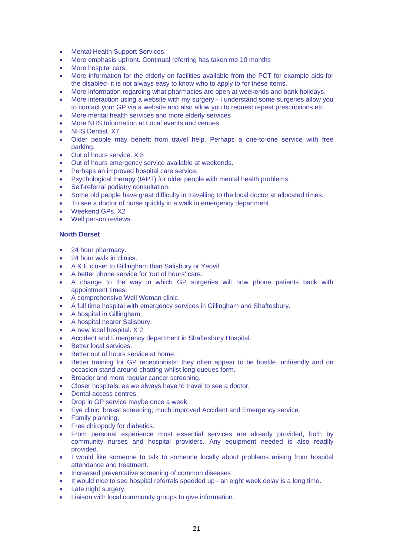- Mental Health Support Services.
- More emphasis upfront. Continual referring has taken me 10 months
- More hospital cars.
- More information for the elderly on facilities available from the PCT for example aids for the disabled- it is not always easy to know who to apply to for these items.
- More information regarding what pharmacies are open at weekends and bank holidays.
- More interaction using a website with my surgery I understand some surgeries allow you to contact your GP via a website and also allow you to request repeat prescriptions etc.
- More mental health services and more elderly services
- More NHS Information at Local events and venues.
- NHS Dentist. X7
- Older people may benefit from travel help. Perhaps a one-to-one service with free parking.
- Out of hours service. X 8
- Out of hours emergency service available at weekends.
- Perhaps an improved hospital care service.
- Psychological therapy (IAPT) for older people with mental health problems.
- Self-referral podiatry consultation.
- Some old people have great difficulty in travelling to the local doctor at allocated times.
- To see a doctor of nurse quickly in a walk in emergency department.
- Weekend GPs. X2
- Well person reviews.

# **North Dorset**

- 24 hour pharmacy.
- 24 hour walk in clinics.
- A & E closer to Gillingham than Salisbury or Yeovil
- A better phone service for 'out of hours' care.
- A change to the way in which GP surgeries will now phone patients back with appointment times.
- A comprehensive Well Woman clinic.
- A full time hospital with emergency services in Gillingham and Shaftesbury.
- A hospital in Gillingham.
- A hospital nearer Salisbury.
- A new local hospital. X 2
- Accident and Emergency department in Shaftesbury Hospital.
- Better local services.
- Better out of hours service at home.
- Better training for GP receptionists: they often appear to be hostile, unfriendly and on occasion stand around chatting whilst long queues form.
- Broader and more regular cancer screening.
- Closer hospitals, as we always have to travel to see a doctor.
- Dental access centres.
- Drop in GP service maybe once a week.
- Eye clinic; breast screening; much improved Accident and Emergency service.
- Family planning.
- Free chiropody for diabetics.
- From personal experience most essential services are already provided, both by community nurses and hospital providers. Any equipment needed is also readily provided.
- I would like someone to talk to someone locally about problems arising from hospital attendance and treatment.
- Increased preventative screening of common diseases
- It would nice to see hospital referrals speeded up an eight week delay is a long time.
- Late night surgery.
- Liaison with local community groups to give information.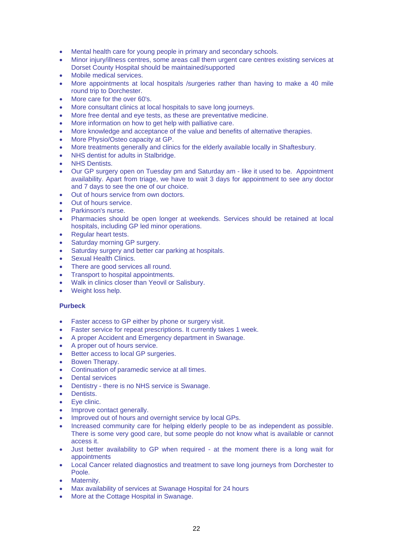- Mental health care for young people in primary and secondary schools.
- Minor injury/illness centres, some areas call them urgent care centres existing services at Dorset County Hospital should be maintained/supported
- Mobile medical services.
- More appointments at local hospitals /surgeries rather than having to make a 40 mile round trip to Dorchester.
- More care for the over 60's.
- More consultant clinics at local hospitals to save long journeys.
- More free dental and eye tests, as these are preventative medicine.
- More information on how to get help with palliative care.
- More knowledge and acceptance of the value and benefits of alternative therapies.
- More Physio/Osteo capacity at GP.
- More treatments generally and clinics for the elderly available locally in Shaftesbury.
- NHS dentist for adults in Stalbridge.
- **NHS Dentists.**
- Our GP surgery open on Tuesday pm and Saturday am like it used to be. Appointment availability. Apart from triage, we have to wait 3 days for appointment to see any doctor and 7 days to see the one of our choice.
- Out of hours service from own doctors.
- Out of hours service.
- Parkinson's nurse.
- Pharmacies should be open longer at weekends. Services should be retained at local hospitals, including GP led minor operations.
- Regular heart tests.
- Saturday morning GP surgery.
- Saturday surgery and better car parking at hospitals.
- Sexual Health Clinics.
- There are good services all round.
- Transport to hospital appointments.
- Walk in clinics closer than Yeovil or Salisbury.
- Weight loss help.

#### **Purbeck**

- Faster access to GP either by phone or surgery visit.
- Faster service for repeat prescriptions. It currently takes 1 week.
- A proper Accident and Emergency department in Swanage.
- A proper out of hours service.
- Better access to local GP surgeries.
- Bowen Therapy.
- Continuation of paramedic service at all times.
- **Dental services**
- Dentistry there is no NHS service is Swanage.
- Dentists.
- Eve clinic.
- Improve contact generally.
- Improved out of hours and overnight service by local GPs.
- Increased community care for helping elderly people to be as independent as possible. There is some very good care, but some people do not know what is available or cannot access it.
- Just better availability to GP when required at the moment there is a long wait for appointments
- Local Cancer related diagnostics and treatment to save long journeys from Dorchester to Poole.
- Maternity.
- Max availability of services at Swanage Hospital for 24 hours
- More at the Cottage Hospital in Swanage.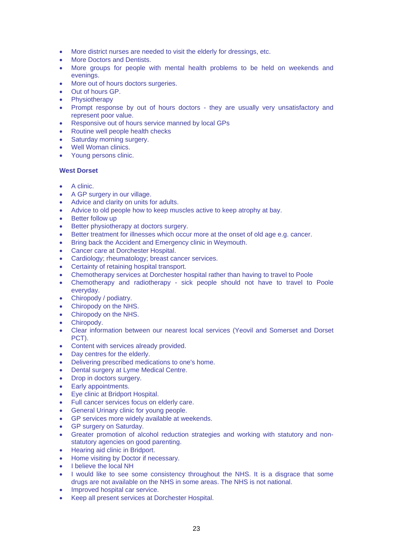- More district nurses are needed to visit the elderly for dressings, etc.
- More Doctors and Dentists.
- More groups for people with mental health problems to be held on weekends and evenings.
- More out of hours doctors surgeries.
- Out of hours GP.
- **Physiotherapy**
- Prompt response by out of hours doctors they are usually very unsatisfactory and represent poor value.
- Responsive out of hours service manned by local GPs
- Routine well people health checks
- Saturday morning surgery.
- Well Woman clinics.
- Young persons clinic.

#### **West Dorset**

- A clinic.
- A GP surgery in our village.
- Advice and clarity on units for adults.
- Advice to old people how to keep muscles active to keep atrophy at bay.
- **Better follow up**
- Better physiotherapy at doctors surgery.
- Better treatment for illnesses which occur more at the onset of old age e.g. cancer.
- Bring back the Accident and Emergency clinic in Weymouth.
- Cancer care at Dorchester Hospital.
- Cardiology; rheumatology; breast cancer services.
- Certainty of retaining hospital transport.
- Chemotherapy services at Dorchester hospital rather than having to travel to Poole
- Chemotherapy and radiotherapy sick people should not have to travel to Poole everyday.
- Chiropody / podiatry.
- Chiropody on the NHS.
- Chiropody on the NHS.
- Chiropody.
- Clear information between our nearest local services (Yeovil and Somerset and Dorset PCT).
- Content with services already provided.
- Day centres for the elderly.
- Delivering prescribed medications to one's home.
- Dental surgery at Lyme Medical Centre.
- Drop in doctors surgery.
- Early appointments.
- Eye clinic at Bridport Hospital.
- Full cancer services focus on elderly care.
- General Urinary clinic for young people.
- GP services more widely available at weekends.
- GP surgery on Saturday.
- Greater promotion of alcohol reduction strategies and working with statutory and nonstatutory agencies on good parenting.
- Hearing aid clinic in Bridport.
- Home visiting by Doctor if necessary.
- I believe the local NH
- I would like to see some consistency throughout the NHS. It is a disgrace that some drugs are not available on the NHS in some areas. The NHS is not national.
- Improved hospital car service.
- Keep all present services at Dorchester Hospital.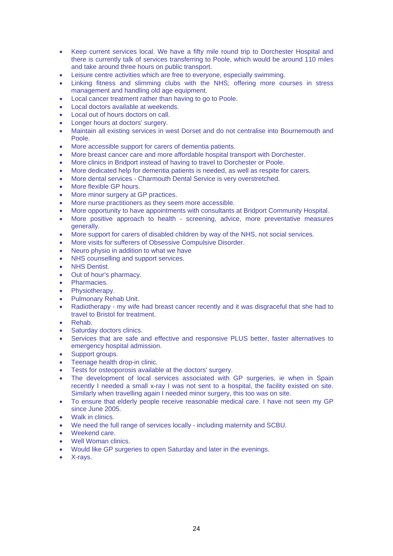- Keep current services local. We have a fifty mile round trip to Dorchester Hospital and there is currently talk of services transferring to Poole, which would be around 110 miles and take around three hours on public transport.
- Leisure centre activities which are free to everyone, especially swimming.
- Linking fitness and slimming clubs with the NHS; offering more courses in stress management and handling old age equipment.
- Local cancer treatment rather than having to go to Poole.
- Local doctors available at weekends.
- Local out of hours doctors on call.
- Longer hours at doctors' surgery.
- Maintain all existing services in west Dorset and do not centralise into Bournemouth and Poole.
- More accessible support for carers of dementia patients.
- More breast cancer care and more affordable hospital transport with Dorchester.
- More clinics in Bridport instead of having to travel to Dorchester or Poole.
- More dedicated help for dementia patients is needed, as well as respite for carers.
- More dental services Charmouth Dental Service is very overstretched.
- More flexible GP hours.
- More minor surgery at GP practices.
- More nurse practitioners as they seem more accessible.
- More opportunity to have appointments with consultants at Bridport Community Hospital.
- More positive approach to health screening, advice, more preventative measures generally.
- More support for carers of disabled children by way of the NHS, not social services.
- More visits for sufferers of Obsessive Compulsive Disorder.
- Neuro physio in addition to what we have
- NHS counselling and support services.
- **NHS Dentist.**
- Out of hour's pharmacy.
- Pharmacies.
- Physiotherapy.
- Pulmonary Rehab Unit.
- Radiotherapy my wife had breast cancer recently and it was disgraceful that she had to travel to Bristol for treatment.
- Rehab.
- Saturday doctors clinics.
- Services that are safe and effective and responsive PLUS better, faster alternatives to emergency hospital admission.
- Support groups.
- Teenage health drop-in clinic.
- Tests for osteoporosis available at the doctors' surgery.
- The development of local services associated with GP surgeries, ie when in Spain recently I needed a small x-ray I was not sent to a hospital, the facility existed on site. Similarly when travelling again I needed minor surgery, this too was on site.
- To ensure that elderly people receive reasonable medical care. I have not seen my GP since June 2005.
- Walk in clinics
- We need the full range of services locally including maternity and SCBU.
- Weekend care.
- Well Woman clinics.
- Would like GP surgeries to open Saturday and later in the evenings.
- X-rays.